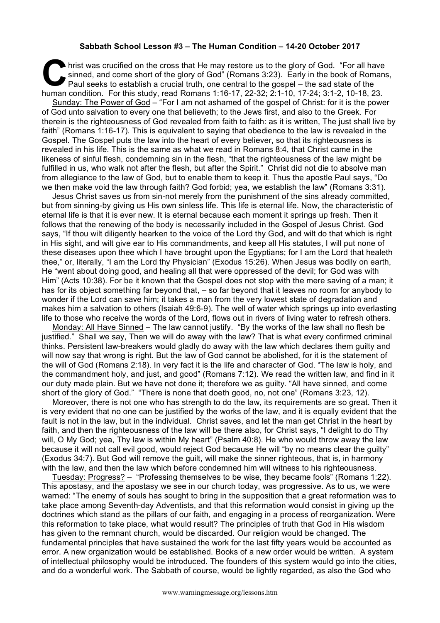## **Sabbath School Lesson #3 – The Human Condition – 14-20 October 2017**

hrist was crucified on the cross that He may restore us to the glory of God. "For all have sinned, and come short of the glory of God" (Romans 3:23). Early in the book of Romans Paul seeks to establish a crucial truth, one sinned, and come short of the glory of God" (Romans 3:23). Early in the book of Romans, Paul seeks to establish a crucial truth, one central to the gospel – the sad state of the human condition. For this study, read Romans 1:16-17, 22-32; 2:1-10, 17-24; 3:1-2, 10-18, 23.

Sunday: The Power of God – "For I am not ashamed of the gospel of Christ: for it is the power of God unto salvation to every one that believeth; to the Jews first, and also to the Greek. For therein is the righteousness of God revealed from faith to faith: as it is written, The just shall live by faith" (Romans 1:16-17). This is equivalent to saying that obedience to the law is revealed in the Gospel. The Gospel puts the law into the heart of every believer, so that its righteousness is revealed in his life. This is the same as what we read in Romans 8:4, that Christ came in the likeness of sinful flesh, condemning sin in the flesh, "that the righteousness of the law might be fulfilled in us, who walk not after the flesh, but after the Spirit." Christ did not die to absolve man from allegiance to the law of God, but to enable them to keep it. Thus the apostle Paul says, "Do we then make void the law through faith? God forbid; yea, we establish the law" (Romans 3:31).

Jesus Christ saves us from sin-not merely from the punishment of the sins already committed, but from sinning-by giving us His own sinless life. This life is eternal life. Now, the characteristic of eternal life is that it is ever new. It is eternal because each moment it springs up fresh. Then it follows that the renewing of the body is necessarily included in the Gospel of Jesus Christ. God says, "If thou wilt diligently hearken to the voice of the Lord thy God, and wilt do that which is right in His sight, and wilt give ear to His commandments, and keep all His statutes, I will put none of these diseases upon thee which I have brought upon the Egyptians; for I am the Lord that healeth thee," or, literally, "I am the Lord thy Physician" (Exodus 15:26). When Jesus was bodily on earth, He "went about doing good, and healing all that were oppressed of the devil; for God was with Him" (Acts 10:38). For be it known that the Gospel does not stop with the mere saving of a man; it has for its object something far beyond that, – so far beyond that it leaves no room for anybody to wonder if the Lord can save him; it takes a man from the very lowest state of degradation and makes him a salvation to others (Isaiah 49:6-9). The well of water which springs up into everlasting life to those who receive the words of the Lord, flows out in rivers of living water to refresh others.

Monday: All Have Sinned - The law cannot justify. "By the works of the law shall no flesh be justified." Shall we say, Then we will do away with the law? That is what every confirmed criminal thinks. Persistent law-breakers would gladly do away with the law which declares them guilty and will now say that wrong is right. But the law of God cannot be abolished, for it is the statement of the will of God (Romans 2:18). In very fact it is the life and character of God. "The law is holy, and the commandment holy, and just, and good" (Romans 7:12). We read the written law, and find in it our duty made plain. But we have not done it; therefore we as guilty. "All have sinned, and come short of the glory of God." "There is none that doeth good, no, not one" (Romans 3:23, 12).

Moreover, there is not one who has strength to do the law, its requirements are so great. Then it is very evident that no one can be justified by the works of the law, and it is equally evident that the fault is not in the law, but in the individual. Christ saves, and let the man get Christ in the heart by faith, and then the righteousness of the law will be there also, for Christ says, "I delight to do Thy will, O My God; yea, Thy law is within My heart" (Psalm 40:8). He who would throw away the law because it will not call evil good, would reject God because He will "by no means clear the guilty" (Exodus 34:7). But God will remove the guilt, will make the sinner righteous, that is, in harmony with the law, and then the law which before condemned him will witness to his righteousness.

Tuesday: Progress? – "Professing themselves to be wise, they became fools" (Romans 1:22). This apostasy, and the apostasy we see in our church today, was progressive. As to us, we were warned: "The enemy of souls has sought to bring in the supposition that a great reformation was to take place among Seventh-day Adventists, and that this reformation would consist in giving up the doctrines which stand as the pillars of our faith, and engaging in a process of reorganization. Were this reformation to take place, what would result? The principles of truth that God in His wisdom has given to the remnant church, would be discarded. Our religion would be changed. The fundamental principles that have sustained the work for the last fifty years would be accounted as error. A new organization would be established. Books of a new order would be written. A system of intellectual philosophy would be introduced. The founders of this system would go into the cities, and do a wonderful work. The Sabbath of course, would be lightly regarded, as also the God who